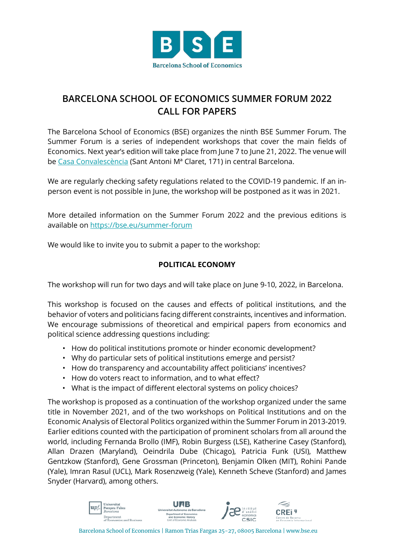

## **BARCELONA SCHOOL OF ECONOMICS SUMMER FORUM 2022 CALL FOR PAPERS**

The Barcelona School of Economics (BSE) organizes the ninth BSE Summer Forum. The Summer Forum is a series of independent workshops that cover the main fields of Economics. Next year's edition will take place from June 7 to June 21, 2022. The venue will be [Casa Convalescència](https://www.uab-casaconvalescencia.org/en/how-to-get-there.php) (Sant Antoni Mª Claret, 171) in central Barcelona.

We are regularly checking safety regulations related to the COVID-19 pandemic. If an inperson event is not possible in June, the workshop will be postponed as it was in 2021.

More detailed information on the Summer Forum 2022 and the previous editions is available on<https://bse.eu/summer-forum>

We would like to invite you to submit a paper to the workshop:

## **POLITICAL ECONOMY**

The workshop will run for two days and will take place on June 9-10, 2022, in Barcelona.

This workshop is focused on the causes and effects of political institutions, and the behavior of voters and politicians facing different constraints, incentives and information. We encourage submissions of theoretical and empirical papers from economics and political science addressing questions including:

- How do political institutions promote or hinder economic development?
- Why do particular sets of political institutions emerge and persist?
- How do transparency and accountability affect politicians' incentives?
- How do voters react to information, and to what effect?
- What is the impact of different electoral systems on policy choices?

The workshop is proposed as a continuation of the workshop organized under the same title in November 2021, and of the two workshops on Political Institutions and on the Economic Analysis of Electoral Politics organized within the Summer Forum in 2013-2019. Earlier editions counted with the participation of prominent scholars from all around the world, including Fernanda Brollo (IMF), Robin Burgess (LSE), Katherine Casey (Stanford), Allan Drazen (Maryland), Oeindrila Dube (Chicago), Patricia Funk (USI), Matthew Gentzkow (Stanford), Gene Grossman (Princeton), Benjamin Olken (MIT), Rohini Pande (Yale), Imran Rasul (UCL), Mark Rosenzweig (Yale), Kenneth Scheve (Stanford) and James Snyder (Harvard), among others.